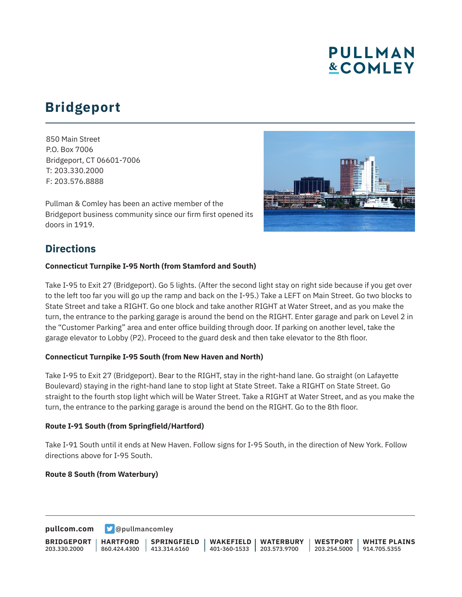# **PULLMAN &COMLEY**

# **Bridgeport**

850 Main Street P.O. Box 7006 Bridgeport, CT 06601-7006 T: 203.330.2000 F: 203.576.8888

Pullman & Comley has been an active member of the Bridgeport business community since our firm first opened its doors in 1919.



## **Directions**

### **Connecticut Turnpike I-95 North (from Stamford and South)**

Take I-95 to Exit 27 (Bridgeport). Go 5 lights. (After the second light stay on right side because if you get over to the left too far you will go up the ramp and back on the I-95.) Take a LEFT on Main Street. Go two blocks to State Street and take a RIGHT. Go one block and take another RIGHT at Water Street, and as you make the turn, the entrance to the parking garage is around the bend on the RIGHT. Enter garage and park on Level 2 in the "Customer Parking" area and enter office building through door. If parking on another level, take the garage elevator to Lobby (P2). Proceed to the guard desk and then take elevator to the 8th floor.

### **Connecticut Turnpike I-95 South (from New Haven and North)**

Take I-95 to Exit 27 (Bridgeport). Bear to the RIGHT, stay in the right-hand lane. Go straight (on Lafayette Boulevard) staying in the right-hand lane to stop light at State Street. Take a RIGHT on State Street. Go straight to the fourth stop light which will be Water Street. Take a RIGHT at Water Street, and as you make the turn, the entrance to the parking garage is around the bend on the RIGHT. Go to the 8th floor.

#### **Route I-91 South (from Springfield/Hartford)**

Take I-91 South until it ends at New Haven. Follow signs for I-95 South, in the direction of New York. Follow directions above for I-95 South.

#### **Route 8 South (from Waterbury)**

**[pullcom.com](https://www.pullcom.com) g** [@pullmancomley](https://twitter.com/PullmanComley)

**BRIDGEPORT** 203.330.2000 **HARTFORD** 860.424.4300 **SPRINGFIELD**  $1413.314.6160$ **WAKEFIELD** 401-360-1533 **WATERBURY** 203.573.9700 **WESTPORT** 203.254.5000 914.705.5355 **WHITE PLAINS**